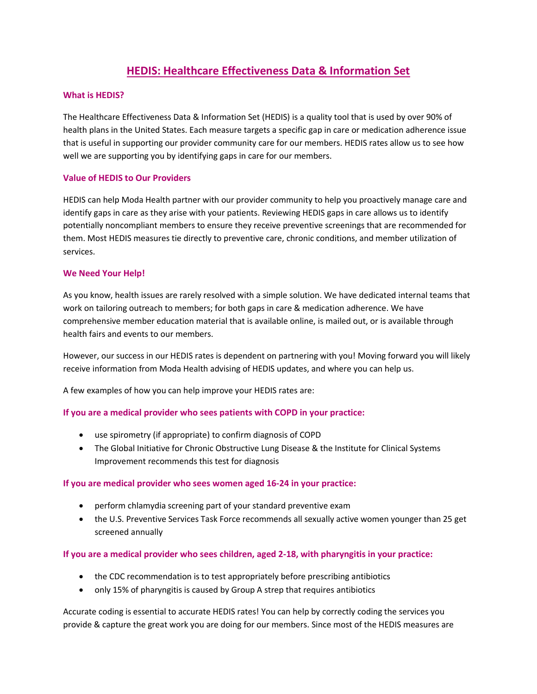# **HEDIS: Healthcare Effectiveness Data & Information Set**

### **What is HEDIS?**

The Healthcare Effectiveness Data & Information Set (HEDIS) is a quality tool that is used by over 90% of health plans in the United States. Each measure targets a specific gap in care or medication adherence issue that is useful in supporting our provider community care for our members. HEDIS rates allow us to see how well we are supporting you by identifying gaps in care for our members.

## **Value of HEDIS to Our Providers**

HEDIS can help Moda Health partner with our provider community to help you proactively manage care and identify gaps in care as they arise with your patients. Reviewing HEDIS gaps in care allows us to identify potentially noncompliant members to ensure they receive preventive screenings that are recommended for them. Most HEDIS measures tie directly to preventive care, chronic conditions, and member utilization of services.

## **We Need Your Help!**

As you know, health issues are rarely resolved with a simple solution. We have dedicated internal teams that work on tailoring outreach to members; for both gaps in care & medication adherence. We have comprehensive member education material that is available online, is mailed out, or is available through health fairs and events to our members.

However, our success in our HEDIS rates is dependent on partnering with you! Moving forward you will likely receive information from Moda Health advising of HEDIS updates, and where you can help us.

A few examples of how you can help improve your HEDIS rates are:

# **If you are a medical provider who sees patients with COPD in your practice:**

- use spirometry (if appropriate) to confirm diagnosis of COPD
- The Global Initiative for Chronic Obstructive Lung Disease & the Institute for Clinical Systems Improvement recommends this test for diagnosis

#### **If you are medical provider who sees women aged 16-24 in your practice:**

- perform chlamydia screening part of your standard preventive exam
- the U.S. Preventive Services Task Force recommends all sexually active women younger than 25 get screened annually

# **If you are a medical provider who sees children, aged 2-18, with pharyngitis in your practice:**

- the CDC recommendation is to test appropriately before prescribing antibiotics
- only 15% of pharyngitis is caused by Group A strep that requires antibiotics

Accurate coding is essential to accurate HEDIS rates! You can help by correctly coding the services you provide & capture the great work you are doing for our members. Since most of the HEDIS measures are